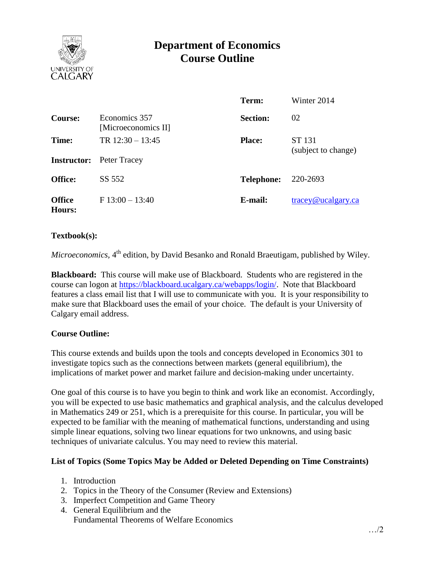

# **Department of Economics Course Outline**

|                         |                                      | Term:             | Winter 2014                      |
|-------------------------|--------------------------------------|-------------------|----------------------------------|
| Course:                 | Economics 357<br>[Microeconomics II] | <b>Section:</b>   | 02                               |
| Time:                   | TR $12:30 - 13:45$                   | <b>Place:</b>     | ST 131                           |
|                         | <b>Instructor:</b> Peter Tracey      |                   | (subject to change)              |
| <b>Office:</b>          | SS 552                               | <b>Telephone:</b> | 220-2693                         |
| <b>Office</b><br>Hours: | $F13:00 - 13:40$                     | E-mail:           | $trace\$ <sub>@ucalgary.ca</sub> |

#### **Textbook(s):**

Microeconomics, 4<sup>th</sup> edition, by David Besanko and Ronald Braeutigam, published by Wiley.

**Blackboard:** This course will make use of Blackboard. Students who are registered in the course can logon at [https://blackboard.ucalgary.ca/webapps/login/.](https://blackboard.ucalgary.ca/webapps/login/) Note that Blackboard features a class email list that I will use to communicate with you. It is your responsibility to make sure that Blackboard uses the email of your choice. The default is your University of Calgary email address.

## **Course Outline:**

This course extends and builds upon the tools and concepts developed in Economics 301 to investigate topics such as the connections between markets (general equilibrium), the implications of market power and market failure and decision-making under uncertainty.

One goal of this course is to have you begin to think and work like an economist. Accordingly, you will be expected to use basic mathematics and graphical analysis, and the calculus developed in Mathematics 249 or 251, which is a prerequisite for this course. In particular, you will be expected to be familiar with the meaning of mathematical functions, understanding and using simple linear equations, solving two linear equations for two unknowns, and using basic techniques of univariate calculus. You may need to review this material.

## **List of Topics (Some Topics May be Added or Deleted Depending on Time Constraints)**

- 1. Introduction
- 2. Topics in the Theory of the Consumer (Review and Extensions)
- 3. Imperfect Competition and Game Theory
- 4. General Equilibrium and the Fundamental Theorems of Welfare Economics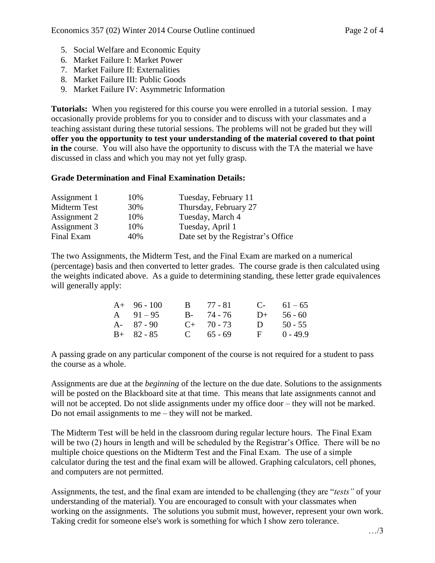- 5. Social Welfare and Economic Equity
- 6. Market Failure I: Market Power
- 7. Market Failure II: Externalities
- 8. Market Failure III: Public Goods
- 9. Market Failure IV: Asymmetric Information

**Tutorials:** When you registered for this course you were enrolled in a tutorial session. I may occasionally provide problems for you to consider and to discuss with your classmates and a teaching assistant during these tutorial sessions. The problems will not be graded but they will **offer you the opportunity to test your understanding of the material covered to that point in the** course. You will also have the opportunity to discuss with the TA the material we have discussed in class and which you may not yet fully grasp.

#### **Grade Determination and Final Examination Details:**

| 10% | Tuesday, February 11               |
|-----|------------------------------------|
| 30% | Thursday, February 27              |
| 10% | Tuesday, March 4                   |
| 10% | Tuesday, April 1                   |
| 40% | Date set by the Registrar's Office |
|     |                                    |

The two Assignments, the Midterm Test, and the Final Exam are marked on a numerical (percentage) basis and then converted to letter grades. The course grade is then calculated using the weights indicated above. As a guide to determining standing, these letter grade equivalences will generally apply:

| $A+ 96-100$   | <b>B</b> 77 - 81 |              | $C-61-65$  |
|---------------|------------------|--------------|------------|
| A $91-95$     | $B - 74 - 76$    | $D+$         | 56 - 60    |
| $A - 87 - 90$ | $C_{+}$ 70 - 73  | $D -$        | $50 - 55$  |
| $B+ 82 - 85$  | C $65 - 69$      | $\mathbf{F}$ | $0 - 49.9$ |

A passing grade on any particular component of the course is not required for a student to pass the course as a whole.

Assignments are due at the *beginning* of the lecture on the due date. Solutions to the assignments will be posted on the Blackboard site at that time. This means that late assignments cannot and will not be accepted. Do not slide assignments under my office door – they will not be marked. Do not email assignments to me – they will not be marked.

The Midterm Test will be held in the classroom during regular lecture hours. The Final Exam will be two (2) hours in length and will be scheduled by the Registrar's Office. There will be no multiple choice questions on the Midterm Test and the Final Exam. The use of a simple calculator during the test and the final exam will be allowed. Graphing calculators, cell phones, and computers are not permitted.

Assignments, the test, and the final exam are intended to be challenging (they are "*tests"* of your understanding of the material). You are encouraged to consult with your classmates when working on the assignments. The solutions you submit must, however, represent your own work. Taking credit for someone else's work is something for which I show zero tolerance.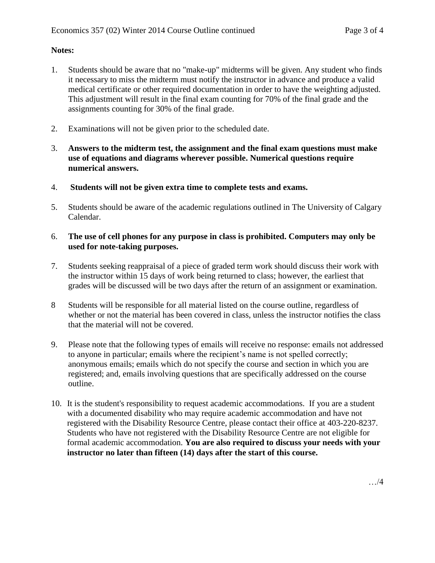## **Notes:**

- 1. Students should be aware that no "make-up" midterms will be given. Any student who finds it necessary to miss the midterm must notify the instructor in advance and produce a valid medical certificate or other required documentation in order to have the weighting adjusted. This adjustment will result in the final exam counting for 70% of the final grade and the assignments counting for 30% of the final grade.
- 2. Examinations will not be given prior to the scheduled date.
- 3. **Answers to the midterm test, the assignment and the final exam questions must make use of equations and diagrams wherever possible. Numerical questions require numerical answers.**
- 4. **Students will not be given extra time to complete tests and exams.**
- 5. Students should be aware of the academic regulations outlined in The University of Calgary Calendar.
- 6. **The use of cell phones for any purpose in class is prohibited. Computers may only be used for note-taking purposes.**
- 7. Students seeking reappraisal of a piece of graded term work should discuss their work with the instructor within 15 days of work being returned to class; however, the earliest that grades will be discussed will be two days after the return of an assignment or examination.
- 8 Students will be responsible for all material listed on the course outline, regardless of whether or not the material has been covered in class, unless the instructor notifies the class that the material will not be covered.
- 9. Please note that the following types of emails will receive no response: emails not addressed to anyone in particular; emails where the recipient's name is not spelled correctly; anonymous emails; emails which do not specify the course and section in which you are registered; and, emails involving questions that are specifically addressed on the course outline.
- 10. It is the student's responsibility to request academic accommodations. If you are a student with a documented disability who may require academic accommodation and have not registered with the Disability Resource Centre, please contact their office at 403-220-8237. Students who have not registered with the Disability Resource Centre are not eligible for formal academic accommodation. **You are also required to discuss your needs with your instructor no later than fifteen (14) days after the start of this course.**